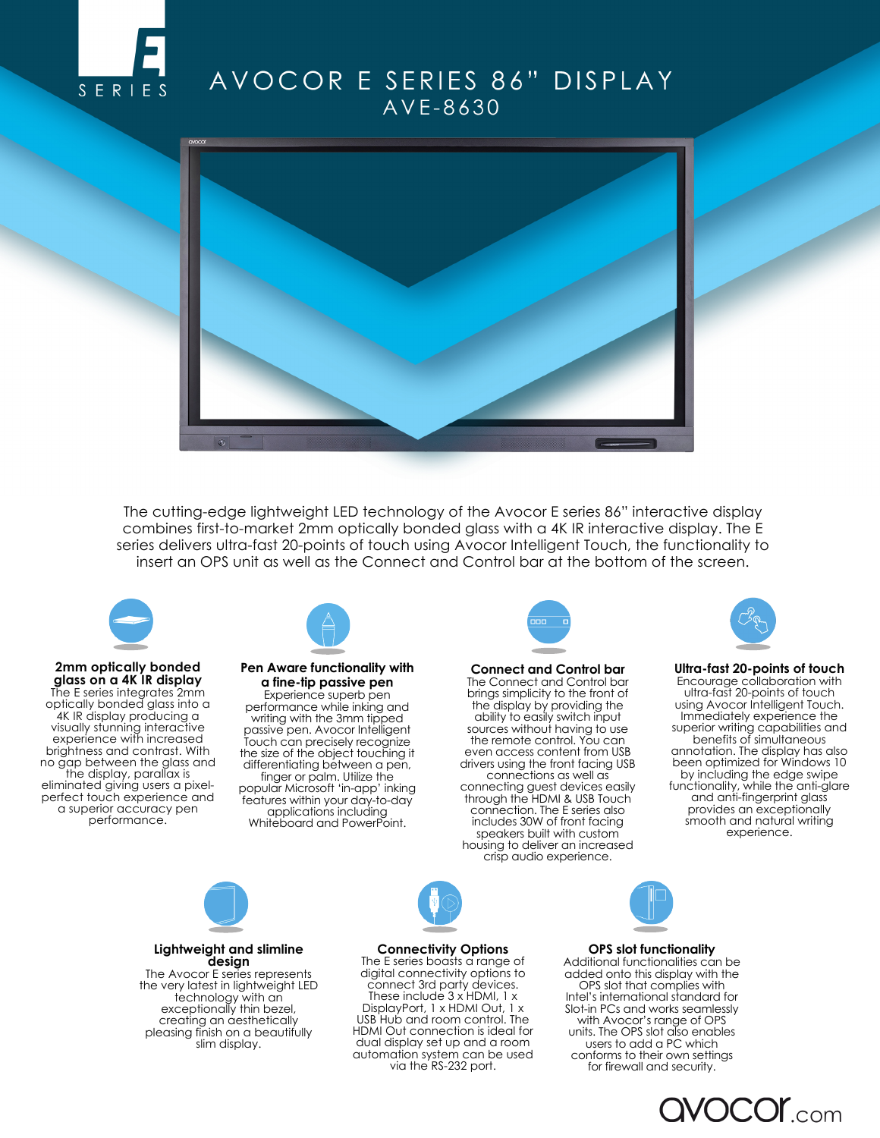

# AVOCOR E SERIES 86" DISPLAY AVE-8630



The cutting-edge lightweight LED technology of the Avocor E series 86" interactive display combines first-to-market 2mm optically bonded glass with a 4K IR interactive display. The E series delivers ultra-fast 20-points of touch using Avocor Intelligent Touch, the functionality to insert an OPS unit as well as the Connect and Control bar at the bottom of the screen.



#### **2mm optically bonded glass on a 4K IR display** The E series integrates 2mm optically bonded glass into a 4K IR display producing a visually stunning interactive experience with increased brightness and contrast. With no gap between the glass and the display, parallax is eliminated giving users a pixelperfect touch experience and a superior accuracy pen performance.



#### **Pen Aware functionality with a fine-tip passive pen**  Experience superb pen

performance while inking and writing with the 3mm tipped passive pen. Avocor Intelligent Touch can precisely recognize the size of the object touching it differentiating between a pen, finger or palm. Utilize the popular Microsoft 'in-app' inking features within your day-to-day applications including Whiteboard and PowerPoint.



**Connect and Control bar**  The Connect and Control bar brings simplicity to the front of the display by providing the ability to easily switch input sources without having to use the remote control. You can even access content from USB drivers using the front facing USB connections as well as connecting guest devices easily through the HDMI & USB Touch connection. The E series also includes 30W of front facing speakers built with custom housing to deliver an increased crisp audio experience.



**Ultra-fast 20-points of touch** Encourage collaboration with ultra-fast 20-points of touch using Avocor Intelligent Touch. Immediately experience the superior writing capabilities and benefits of simultaneous annotation. The display has also been optimized for Windows 10 by including the edge swipe functionality, while the anti-glare and anti-fingerprint glass provides an exceptionally smooth and natural writing experience.



**Lightweight and slimline design** The Avocor E series represents the very latest in lightweight LED technology with an exceptionally thin bezel, creating an aesthetically pleasing finish on a beautifully slim display.

**Connectivity Options**

The E series boasts a range of digital connectivity options to connect 3rd party devices. These include 3 x HDMI, 1 x DisplayPort, 1 x HDMI Out, 1 x USB Hub and room control. The HDMI Out connection is ideal for dual display set up and a room automation system can be used via the RS-232 port.

## **OPS slot functionality**

Additional functionalities can be added onto this display with the OPS slot that complies with Intel's international standard for Slot-in PCs and works seamlessly with Avocor's range of OPS units. The OPS slot also enables users to add a PC which conforms to their own settings for firewall and security.